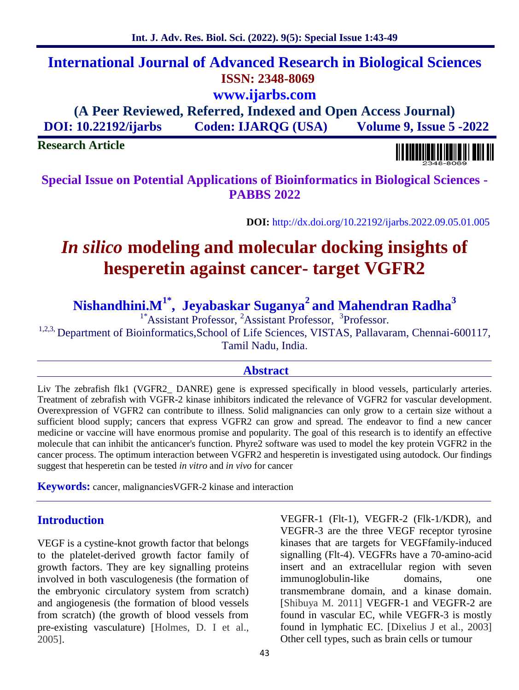**Abstract** Liv The zebrafish flk1 (VGFR2\_ DANRE) gene is expressed specifically in blood vessels, particularly arteries. Treatment of zebrafish with VGFR-2 kinase inhibitors indicated the relevance of VGFR2 for vascular development.

**DOI:** http://dx.doi.org/10.22192/ijarbs.2022.09.05.01.005

# *In silico* **modeling and molecular docking insights of**

**Special Issue on Potential Applications of Bioinformatics in Biological Sciences - PABBS 2022**

**hesperetin against cancer- target VGFR2**

**Nishandhini.M1\* , Jeyabaskar Suganya<sup>2</sup> and Mahendran Radha<sup>3</sup>**

<sup>1\*</sup>Assistant Professor, <sup>2</sup>Assistant Professor, <sup>3</sup>Professor.

<sup>1,2,3,</sup> Department of Bioinformatics, School of Life Sciences, VISTAS, Pallavaram, Chennai-600117, Tamil Nadu, India.

Overexpression of VGFR2 can contribute to illness. Solid malignancies can only grow to a certain size without a

## sufficient blood supply; cancers that express VGFR2 can grow and spread. The endeavor to find a new cancer medicine or vaccine will have enormous promise and popularity. The goal of this research is to identify an effective molecule that can inhibit the anticancer's function. Phyre2 software was used to model the key protein VGFR2 in the cancer process. The optimum interaction between VGFR2 and hesperetin is investigated using autodock. Our findings suggest that hesperetin can be tested *in vitro* and *in vivo* for cancer

**Keywords:** cancer, malignanciesVGFR-2 kinase and interaction

# **Introduction**

**Research Article**

VEGF is a cystine-knot growth factor that belongs to the platelet-derived growth factor family of growth factors. They are key signalling proteins involved in both vasculogenesis (the formation of the embryonic circulatory system from scratch) and angiogenesis (the formation of blood vessels from scratch) (the growth of blood vessels from pre-existing vasculature) [Holmes, D. I et al., 2005].

VEGFR-1 (Flt-1), VEGFR-2 (Flk-1/KDR), and VEGFR-3 are the three VEGF receptor tyrosine kinases that are targets for VEGFfamily-induced signalling (Flt-4). VEGFRs have a 70-amino-acid insert and an extracellular region with seven immunoglobulin-like domains, one transmembrane domain, and a kinase domain. [Shibuya M. 2011] VEGFR-1 and VEGFR-2 are found in vascular EC, while VEGFR-3 is mostly found in lymphatic EC. [Dixelius J et al., 2003] Other cell types, such as brain cells or tumour

**International Journal of Advanced Research in Biological Sciences ISSN: 2348-8069 www.ijarbs.com (A Peer Reviewed, Referred, Indexed and Open Access Journal) DOI: 10.22192/ijarbs Coden: IJARQG (USA) Volume 9, Issue 5 -2022**

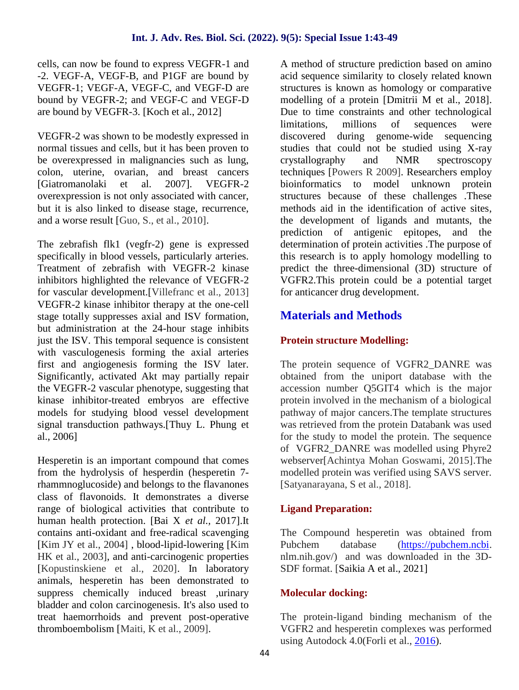cells, can now be found to express VEGFR-1 and -2. VEGF-A, VEGF-B, and P1GF are bound by VEGFR-1; VEGF-A, VEGF-C, and VEGF-D are bound by VEGFR-2; and VEGF-C and VEGF-D are bound by VEGFR-3. [Koch et al., 2012]

VEGFR-2 was shown to be modestly expressed in normal tissues and cells, but it has been proven to be overexpressed in malignancies such as lung, colon, uterine, ovarian, and breast cancers [Giatromanolaki et al. 2007]. VEGFR-2 overexpression is not only associated with cancer, but it is also linked to disease stage, recurrence, and a worse result [Guo, S., et al., 2010].

The zebrafish flk1 (vegfr-2) gene is expressed specifically in blood vessels, particularly arteries. Treatment of zebrafish with VEGFR-2 kinase inhibitors highlighted the relevance of VEGFR-2 for vascular development.[Villefranc et al., 2013] VEGFR-2 kinase inhibitor therapy at the one-cell stage totally suppresses axial and ISV formation, but administration at the 24-hour stage inhibits just the ISV. This temporal sequence is consistent with vasculogenesis forming the axial arteries first and angiogenesis forming the ISV later. Significantly, activated Akt may partially repair the VEGFR-2 vascular phenotype, suggesting that kinase inhibitor-treated embryos are effective models for studying blood vessel development signal transduction pathways.[Thuy L. Phung et al., 2006]

Hesperetin is an important compound that comes from the hydrolysis of hesperdin (hesperetin 7 rhammnoglucoside) and belongs to the flavanones class of flavonoids. It demonstrates a diverse range of biological activities that contribute to human health protection. [Bai X *et al.,* 2017].It contains anti-oxidant and free-radical scavenging [Kim JY et al., 2004] , blood-lipid-lowering [Kim HK et al., 2003], and anti-carcinogenic properties [Kopustinskiene et al., 2020]. In laboratory animals, hesperetin has been demonstrated to suppress chemically induced breast ,urinary bladder and colon carcinogenesis. It's also used to treat haemorrhoids and prevent post-operative thromboembolism [Maiti, K et al., 2009].

A method of structure prediction based on amino acid sequence similarity to closely related known structures is known as homology or comparative modelling of a protein [Dmitrii M et al., 2018]. Due to time constraints and other technological limitations, millions of sequences were discovered during genome-wide sequencing studies that could not be studied using X-ray crystallography and NMR spectroscopy techniques [Powers R 2009]. Researchers employ bioinformatics to model unknown protein structures because of these challenges .These methods aid in the identification of active sites, the development of ligands and mutants, the prediction of antigenic epitopes, and the determination of protein activities .The purpose of this research is to apply homology modelling to predict the three-dimensional (3D) structure of VGFR2.This protein could be a potential target for anticancer drug development.

# **Materials and Methods**

# **Protein structure Modelling:**

The protein sequence of VGFR2\_DANRE was obtained from the uniport database with the accession number Q5GIT4 which is the major protein involved in the mechanism of a biological pathway of major cancers.The template structures was retrieved from the protein Databank was used for the study to model the protein. The sequence of VGFR2\_DANRE was modelled using Phyre2 webserver[Achintya Mohan Goswami, 2015].The modelled protein was verified using SAVS server. [Satyanarayana, S et al., 2018].

# **Ligand Preparation:**

The Compound hesperetin was obtained from database (https://pubchem.ncbi. nlm.nih.gov/) and was downloaded in the 3D- SDF format. [Saikia A et al., 2021]

# **Molecular docking:**

The protein-ligand binding mechanism of the VGFR2 and hesperetin complexes was performed using Autodock 4.0(Forli et al., 2016).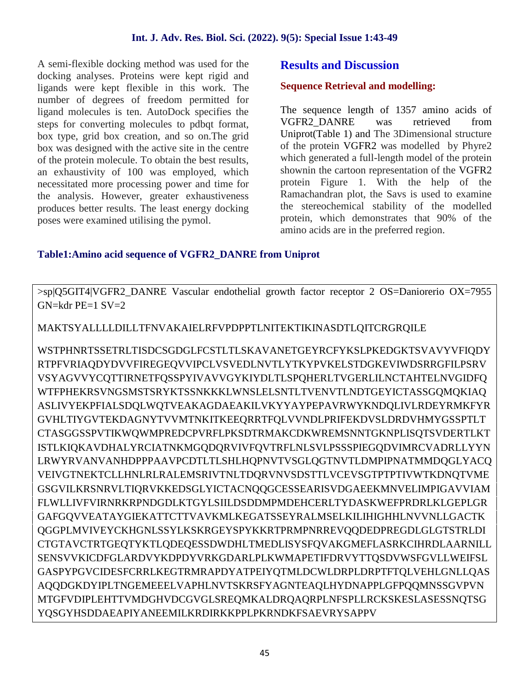A semi-flexible docking method was used for the docking analyses. Proteins were kept rigid and ligands were kept flexible in this work. The number of degrees of freedom permitted for ligand molecules is ten. AutoDock specifies the steps for converting molecules to pdbqt format, box type, grid box creation, and so on.The grid box was designed with the active site in the centre of the protein molecule. To obtain the best results, an exhaustivity of 100 was employed, which necessitated more processing power and time for the analysis. However, greater exhaustiveness produces better results. The least energy docking poses were examined utilising the pymol.

# **Results and Discussion**

#### **Sequence Retrieval and modelling:**

The sequence length of 1357 amino acids of VGFR2\_DANRE was retrieved from Uniprot(Table 1) and The 3Dimensional structure of the protein VGFR2 was modelled by Phyre2 which generated a full-length model of the protein shownin the cartoon representation of the VGFR2 protein Figure 1. With the help of the Ramachandran plot, the Savs is used to examine the stereochemical stability of the modelled protein, which demonstrates that 90% of the amino acids are in the preferred region.

#### **Table1:Amino acid sequence of VGFR2\_DANRE from Uniprot**

>sp|Q5GIT4|VGFR2\_DANRE Vascular endothelial growth factor receptor 2 OS=Daniorerio OX=7955  $GN=\kappa dr$  PE=1  $SV=2$ 

MAKTSYALLLLDILLTFNVAKAIELRFVPDPPTLNITEKTIKINASDTLQITCRGRQILE

WSTPHNRTSSETRLTISDCSGDGLFCSTLTLSKAVANETGEYRCFYKSLPKEDGKTSVAVYVFIQDY RTPFVRIAQDYDVVFIREGEQVVIPCLVSVEDLNVTLYTKYPVKELSTDGKEVIWDSRRGFILPSRV VSYAGVVYCQTTIRNETFQSSPYIVAVVGYKIYDLTLSPQHERLTVGERLILNCTAHTELNVGIDFQ WTFPHEKRSVNGSMSTSRYKTSSNKKKLWNSLELSNTLTVENVTLNDTGEYICTASSGQMQKIAQ ASLIVYEKPFIALSDQLWQTVEAKAGDAEAKILVKYYAYPEPAVRWYKNDQLIVLRDEYRMKFYR GVHLTIYGVTEKDAGNYTVVMTNKITKEEQRRTFQLVVNDLPRIFEKDVSLDRDVHMYGSSPTLT CTASGGSSPVTIKWQWMPREDCPVRFLPKSDTRMAKCDKWREMSNNTGKNPLISQTSVDERTLKT ISTLKIQKAVDHALYRCIATNKMGQDQRVIVFQVTRFLNLSVLPSSSPIEGQDVIMRCVADRLLYYN LRWYRVANVANHDPPPAAVPCDTLTLSHLHQPNVTVSGLQGTNVTLDMPIPNATMMDQGLYACQ VEIVGTNEKTCLLHNLRLRALEMSRIVTNLTDQRVNVSDSTTLVCEVSGTPTPTIVWTKDNQTVME GSGVILKRSNRVLTIQRVKKEDSGLYICTACNQQGCESSEARISVDGAEEKMNVELIMPIGAVVIAM FLWLLIVFVIRNRKRPNDGDLKTGYLSIILDSDDMPMDEHCERLTYDASKWEFPRDRLKLGEPLGR GAFGQVVEATAYGIEKATTCTTVAVKMLKEGATSSEYRALMSELKILIHIGHHLNVVNLLGACTK QGGPLMVIVEYCKHGNLSSYLKSKRGEYSPYKKRTPRMPNRREVQQDEDPREGDLGLGTSTRLDI CTGTAVCTRTGEQTYKTLQDEQESSDWDHLTMEDLISYSFQVAKGMEFLASRKCIHRDLAARNILL SENSVVKICDFGLARDVYKDPDYVRKGDARLPLKWMAPETIFDRVYTTQSDVWSFGVLLWEIFSL GASPYPGVCIDESFCRRLKEGTRMRAPDYATPEIYQTMLDCWLDRPLDRPTFTQLVEHLGNLLQAS AQQDGKDYIPLTNGEMEEELVAPHLNVTSKRSFYAGNTEAQLHYDNAPPLGFPQQMNSSGVPVN MTGFVDIPLEHTTVMDGHVDCGVGLSREQMKALDRQAQRPLNFSPLLRCKSKESLASESSNQTSG YQSGYHSDDAEAPIYANEEMILKRDIRKKPPLPKRNDKFSAEVRYSAPPV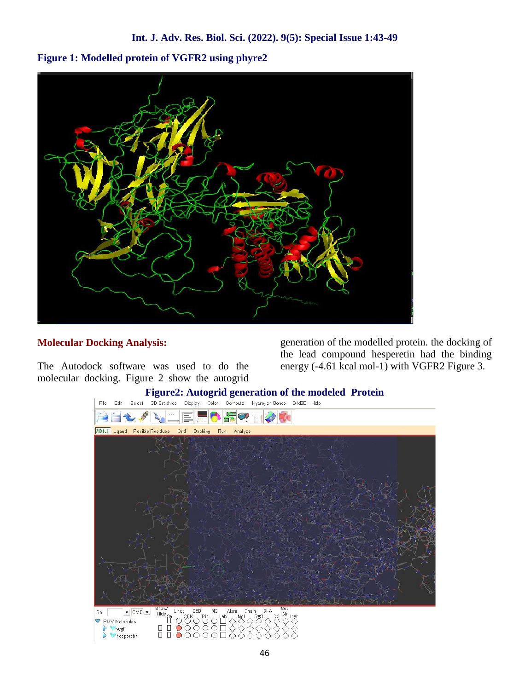**Figure 1: Modelled protein of VGFR2 using phyre2**



### **Molecular Docking Analysis:**

The Autodock software was used to do the molecular docking. Figure 2 show the autogrid

generation of the modelled protein. the docking of the lead compound hesperetin had the binding energy (-4.61 kcal mol-1) with VGFR2 Figure 3.

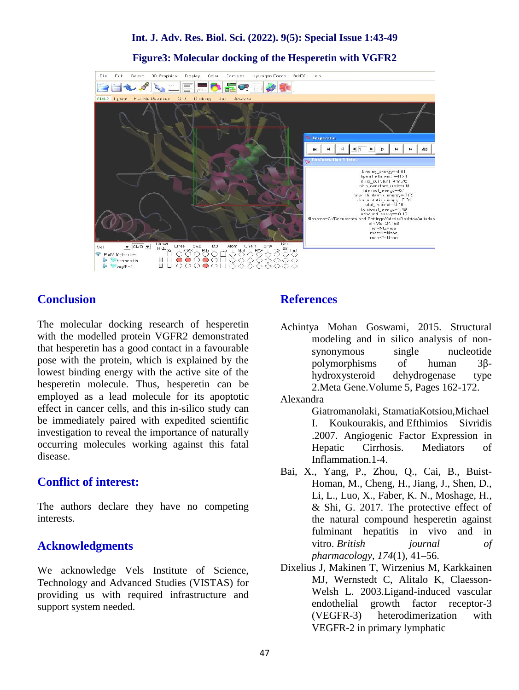**Figure3: Molecular docking of the Hesperetin with VGFR2**



# **Conclusion**

The molecular docking research of hesperetin with the modelled protein VGFR2 demonstrated that hesperetin has a good contact in a favourable pose with the protein, which is explained by the lowest binding energy with the active site of the hesperetin molecule. Thus, hesperetin can be employed as a lead molecule for its apoptotic effect in cancer cells, and this in-silico study can be immediately paired with expedited scientific investigation to reveal the importance of naturally occurring molecules working against this fatal disease.

# **Conflict of interest:**

The authors declare they have no competing interests.

# **Acknowledgments**

We acknowledge Vels Institute of Science, Technology and Advanced Studies (VISTAS) for providing us with required infrastructure and support system needed.

#### **References**

Achintya Mohan Goswami, 2015. Structural modeling and in silico analysis of non synonymous single nucleotide polymorphisms of human 3hydroxysteroid dehydrogenase type 2.Meta Gene.Volume 5, Pages 162-172.

#### Alexandra

Giatromanolaki, StamatiaKotsiou,Michael I. Koukourakis, and Efthimios Sivridis .2007. Angiogenic Factor Expression in Hepatic Cirrhosis. Mediators of Inflammation.1-4.

- Bai, X., Yang, P., Zhou, Q., Cai, B., Buist- Homan, M., Cheng, H., Jiang, J., Shen, D., Li, L., Luo, X., Faber, K. N., Moshage, H., & Shi, G. 2017. The protective effect of the natural compound hesperetin against fulminant hepatitis in vivo and in vitro. *British journal of pharmacology*, *174*(1), 41–56.
- Dixelius J, Makinen T, Wirzenius M, Karkkainen MJ, Wernstedt C, Alitalo K, Claesson- Welsh L. 2003.Ligand-induced vascular endothelial growth factor receptor-3 (VEGFR-3) heterodimerization with VEGFR-2 in primary lymphatic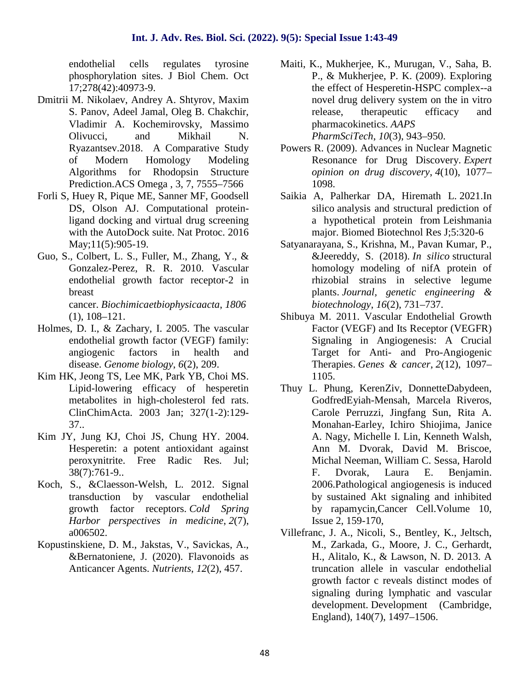endothelial cells regulates tyrosine phosphorylation sites. J Biol Chem. Oct 17;278(42):40973-9.

- Dmitrii M. Nikolaev, Andrey A. Shtyrov, Maxim S. Panov, Adeel Jamal, Oleg B. Chakchir, Vladimir A. Kochemirovsky, Massimo Olivucci, and Mikhail N. Ryazantsev.2018. A Comparative Study of Modern Homology Modeling Algorithms for Rhodopsin Structure Prediction.ACS Omega , 3, 7, 7555–7566
- Forli S, Huey R, Pique ME, Sanner MF, Goodsell DS, Olson AJ. Computational proteinligand docking and virtual drug screening with the AutoDock suite. Nat Protoc. 2016 May;11(5):905-19.
- Guo, S., Colbert, L. S., Fuller, M., Zhang, Y., & Gonzalez-Perez, R. R. 2010. Vascular endothelial growth factor receptor-2 in breast cancer. *Biochimicaetbiophysicaacta*, *1806* (1), 108–121.
- Holmes, D. I., & Zachary, I. 2005. The vascular endothelial growth factor (VEGF) family: angiogenic factors in health and disease. *Genome biology*, *6*(2), 209.
- Kim HK, Jeong TS, Lee MK, Park YB, Choi MS. Lipid-lowering efficacy of hesperetin metabolites in high-cholesterol fed rats. ClinChimActa. 2003 Jan; 327(1-2):129- 37..
- Kim JY, Jung KJ, Choi JS, Chung HY. 2004. Hesperetin: a potent antioxidant against peroxynitrite. Free Radic Res. Jul; 38(7):761-9..
- Koch, S., &Claesson-Welsh, L. 2012. Signal transduction by vascular endothelial growth factor receptors. *Cold Spring Harbor perspectives in medicine*, *2*(7), a006502.
- Kopustinskiene, D. M., Jakstas, V., Savickas, A., &Bernatoniene, J. (2020). Flavonoids as Anticancer Agents. *Nutrients*, *12*(2), 457.
- Maiti, K., Mukherjee, K., Murugan, V., Saha, B. P., & Mukherjee, P. K. (2009). Exploring the effect of Hesperetin-HSPC complex--a novel drug delivery system on the in vitro release, therapeutic efficacy and pharmacokinetics. *AAPS PharmSciTech*, *10*(3), 943–950.
- Powers R. (2009). Advances in Nuclear Magnetic Resonance for Drug Discovery. *Expert opinion on drug discovery*, *4*(10), 1077– 1098.
- Saikia A, Palherkar DA, Hiremath L. 2021.In silico analysis and structural prediction of a hypothetical protein from Leishmania major. Biomed Biotechnol Res J;5:320-6
- Satyanarayana, S., Krishna, M., Pavan Kumar, P., &Jeereddy, S. (2018). *In silico* structural homology modeling of nifA protein of rhizobial strains in selective legume plants. *Journal, genetic engineering & biotechnology*, *16*(2), 731–737.
- Shibuya M. 2011. Vascular Endothelial Growth Factor (VEGF) and Its Receptor (VEGFR) Signaling in Angiogenesis: A Crucial Target for Anti- and Pro-Angiogenic Therapies. *Genes & cancer*, *2*(12), 1097– 1105.
- Thuy L. Phung, KerenZiv, DonnetteDabydeen, GodfredEyiah-Mensah, Marcela Riveros, Carole Perruzzi, Jingfang Sun, Rita A. Monahan-Earley, Ichiro Shiojima, Janice A. Nagy, Michelle I. Lin, Kenneth Walsh, Ann M. Dvorak, David M. Briscoe, Michal Neeman, William C. Sessa, Harold F. Dvorak, Laura E. Benjamin. 2006.Pathological angiogenesis is induced by sustained Akt signaling and inhibited by rapamycin,Cancer Cell.Volume 10, Issue 2, 159-170,
- Villefranc, J. A., Nicoli, S., Bentley, K., Jeltsch, M., Zarkada, G., Moore, J. C., Gerhardt, H., Alitalo, K., & Lawson, N. D. 2013. A truncation allele in vascular endothelial growth factor c reveals distinct modes of signaling during lymphatic and vascular development. Development (Cambridge, England), 140(7), 1497–1506.